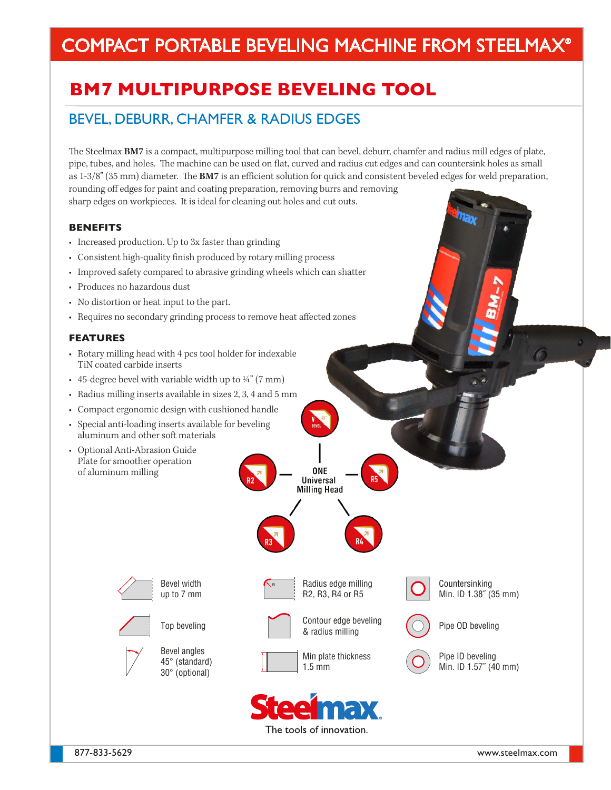# COMPACT PORTABLE BEVELING MACHINE FROM STEELMAX®

## **BM7 MULTIPURPOSE BEVELING TOOL**

### BEVEL, DEBURR, CHAMFER & RADIUS EDGES

The Steelmax **BM7** is a compact, multipurpose milling tool that can bevel, deburr, chamfer and radius mill edges of plate, pipe, tubes, and holes. The machine can be used on flat, curved and radius cut edges and can countersink holes as small as 1-3/8" (35 mm) diameter. The **BM7** is an efficient solution for quick and consistent beveled edges for weld preparation, rounding off edges for paint and coating preparation, removing burrs and removing sharp edges on workpieces. It is ideal for cleaning out holes and cut outs.

#### **BENEFITS**

- Increased production. Up to 3x faster than grinding
- Consistent high-quality finish produced by rotary milling process
- Improved safety compared to abrasive grinding wheels which can shatter
- Produces no hazardous dust
- No distortion or heat input to the part.
- Requires no secondary grinding process to remove heat affected zones

#### **FEATURES**

- Rotary milling head with 4 pcs tool holder for indexable TiN coated carbide inserts
- 45-degree bevel with variable width up to  $\frac{1}{4}$ " (7 mm)
- Radius milling inserts available in sizes 2, 3, 4 and 5 mm
- Compact ergonomic design with cushioned handle
- Special anti-loading inserts available for beveling aluminum and other soft materials
- Optional Anti-Abrasion Guide Plate for smoother operation of aluminum milling









**ONE** Universal **Milling Head** 







Countersinking Min. ID 1.38˝ (35 mm)





Pipe ID beveling Min. ID 1.57˝ (40 mm)